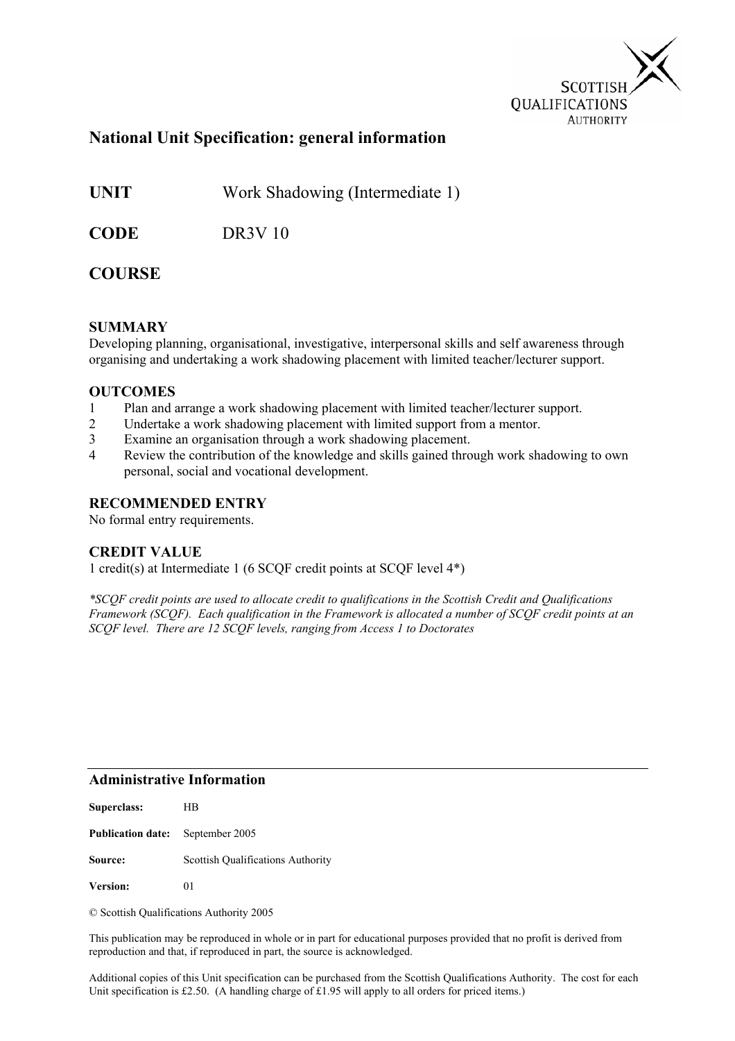

### **National Unit Specification: general information**

**UNIT** Work Shadowing (Intermediate 1)

**CODE** DR3V 10

### **COURSE**

#### **SUMMARY**

Developing planning, organisational, investigative, interpersonal skills and self awareness through organising and undertaking a work shadowing placement with limited teacher/lecturer support.

#### **OUTCOMES**

- 1 Plan and arrange a work shadowing placement with limited teacher/lecturer support.
- 2 Undertake a work shadowing placement with limited support from a mentor.
- 3 Examine an organisation through a work shadowing placement.
- 4 Review the contribution of the knowledge and skills gained through work shadowing to own personal, social and vocational development.

#### **RECOMMENDED ENTRY**

No formal entry requirements.

#### **CREDIT VALUE**

1 credit(s) at Intermediate 1 (6 SCQF credit points at SCQF level 4\*)

*\*SCQF credit points are used to allocate credit to qualifications in the Scottish Credit and Qualifications Framework (SCQF). Each qualification in the Framework is allocated a number of SCQF credit points at an SCQF level. There are 12 SCQF levels, ranging from Access 1 to Doctorates* 

#### **Administrative Information**

| Superclass:              | HВ                                       |
|--------------------------|------------------------------------------|
| <b>Publication date:</b> | September 2005                           |
| Source:                  | <b>Scottish Qualifications Authority</b> |
| <b>Version:</b>          | 01                                       |

© Scottish Qualifications Authority 2005

This publication may be reproduced in whole or in part for educational purposes provided that no profit is derived from reproduction and that, if reproduced in part, the source is acknowledged.

Additional copies of this Unit specification can be purchased from the Scottish Qualifications Authority. The cost for each Unit specification is £2.50. (A handling charge of £1.95 will apply to all orders for priced items.)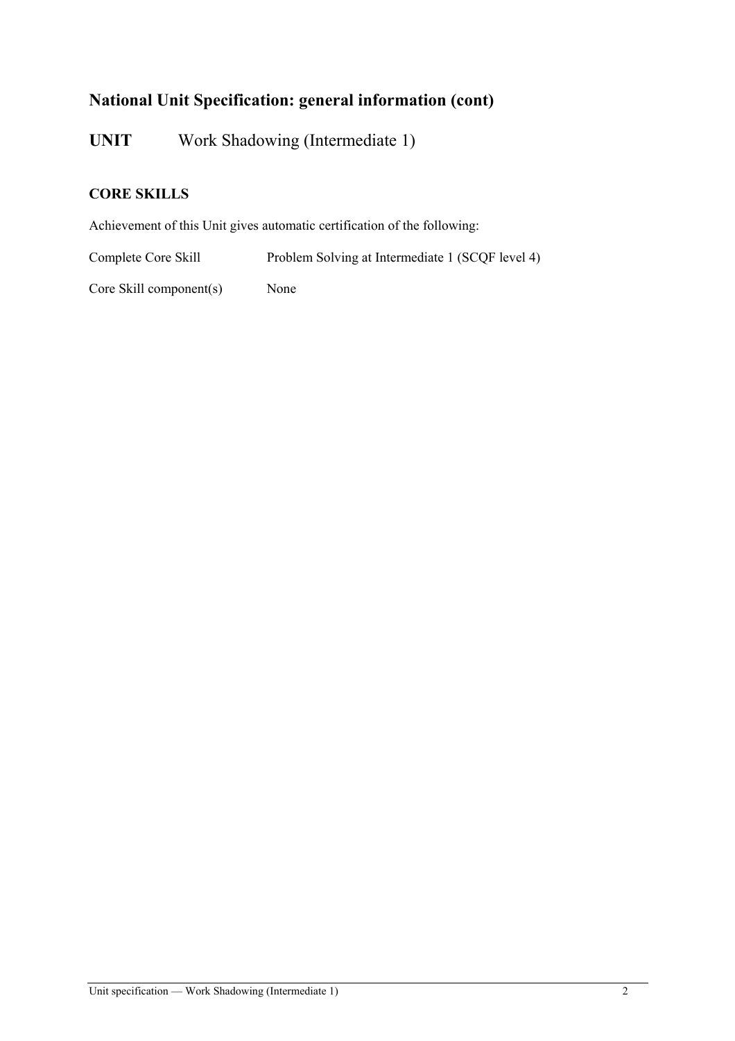# **National Unit Specification: general information (cont)**

**UNIT** Work Shadowing (Intermediate 1)

### **CORE SKILLS**

Achievement of this Unit gives automatic certification of the following:

Complete Core Skill Problem Solving at Intermediate 1 (SCQF level 4)

Core Skill component(s) None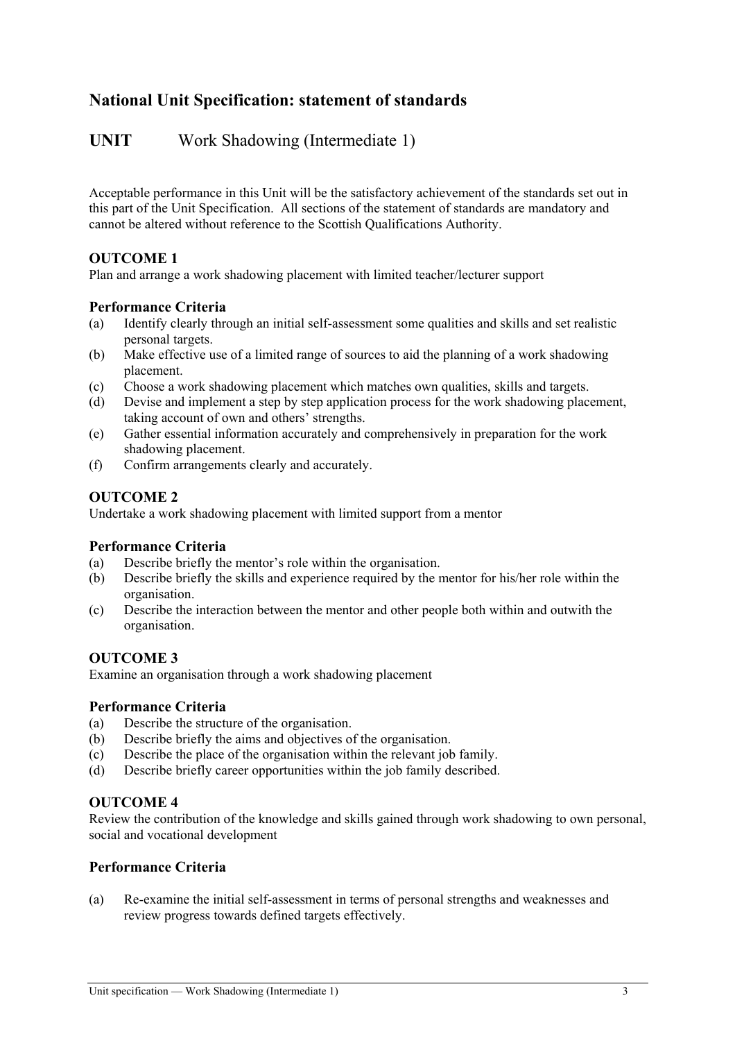## **National Unit Specification: statement of standards**

### **UNIT** Work Shadowing (Intermediate 1)

Acceptable performance in this Unit will be the satisfactory achievement of the standards set out in this part of the Unit Specification. All sections of the statement of standards are mandatory and cannot be altered without reference to the Scottish Qualifications Authority.

#### **OUTCOME 1**

Plan and arrange a work shadowing placement with limited teacher/lecturer support

#### **Performance Criteria**

- (a) Identify clearly through an initial self-assessment some qualities and skills and set realistic personal targets.
- (b) Make effective use of a limited range of sources to aid the planning of a work shadowing placement.
- (c) Choose a work shadowing placement which matches own qualities, skills and targets.
- (d) Devise and implement a step by step application process for the work shadowing placement, taking account of own and others' strengths.
- (e) Gather essential information accurately and comprehensively in preparation for the work shadowing placement.
- (f) Confirm arrangements clearly and accurately.

#### **OUTCOME 2**

Undertake a work shadowing placement with limited support from a mentor

#### **Performance Criteria**

- (a) Describe briefly the mentor's role within the organisation.
- (b) Describe briefly the skills and experience required by the mentor for his/her role within the organisation.
- (c) Describe the interaction between the mentor and other people both within and outwith the organisation.

#### **OUTCOME 3**

Examine an organisation through a work shadowing placement

#### **Performance Criteria**

- (a) Describe the structure of the organisation.
- (b) Describe briefly the aims and objectives of the organisation.
- (c) Describe the place of the organisation within the relevant job family.
- (d) Describe briefly career opportunities within the job family described.

#### **OUTCOME 4**

Review the contribution of the knowledge and skills gained through work shadowing to own personal, social and vocational development

#### **Performance Criteria**

(a) Re-examine the initial self-assessment in terms of personal strengths and weaknesses and review progress towards defined targets effectively.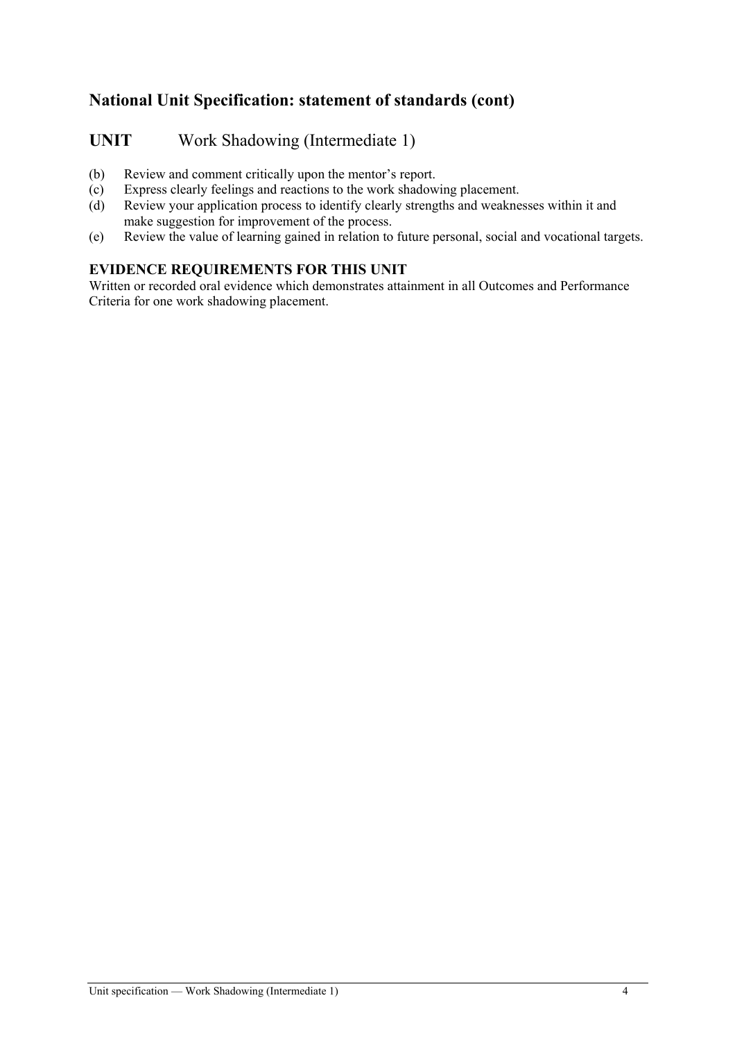# **National Unit Specification: statement of standards (cont)**

## **UNIT** Work Shadowing (Intermediate 1)

- (b) Review and comment critically upon the mentor's report.
- (c) Express clearly feelings and reactions to the work shadowing placement.
- (d) Review your application process to identify clearly strengths and weaknesses within it and make suggestion for improvement of the process.
- (e) Review the value of learning gained in relation to future personal, social and vocational targets.

### **EVIDENCE REQUIREMENTS FOR THIS UNIT**

Written or recorded oral evidence which demonstrates attainment in all Outcomes and Performance Criteria for one work shadowing placement.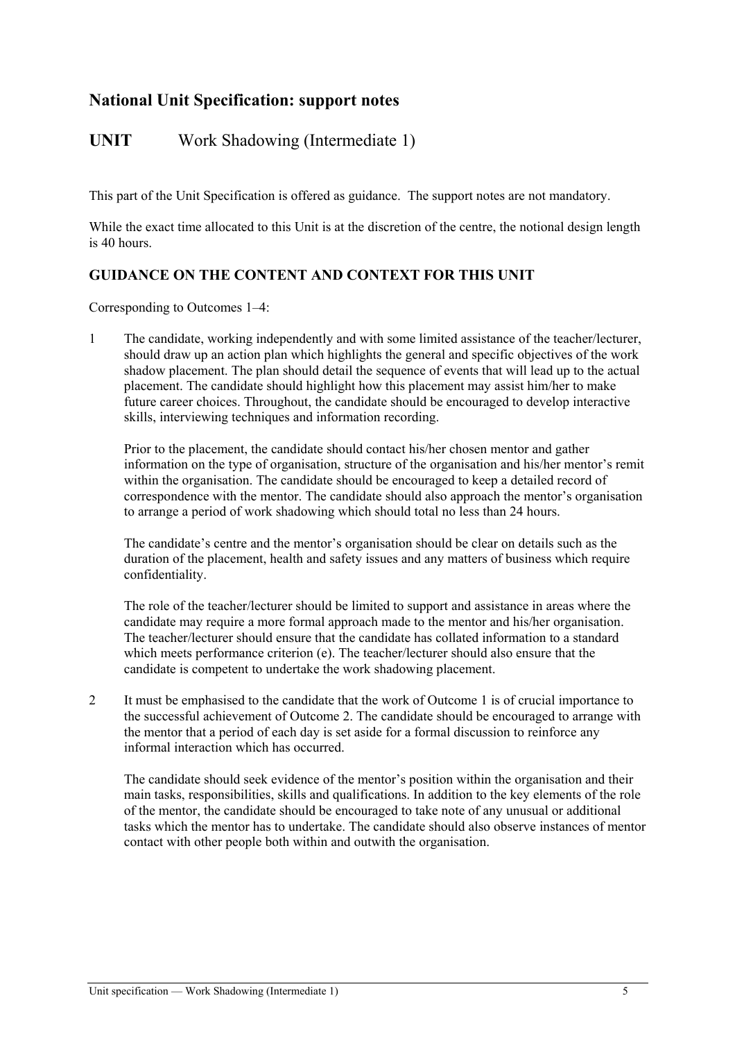## **National Unit Specification: support notes**

## UNIT Work Shadowing (Intermediate 1)

This part of the Unit Specification is offered as guidance. The support notes are not mandatory.

While the exact time allocated to this Unit is at the discretion of the centre, the notional design length is 40 hours.

### **GUIDANCE ON THE CONTENT AND CONTEXT FOR THIS UNIT**

Corresponding to Outcomes 1–4:

1 The candidate, working independently and with some limited assistance of the teacher/lecturer, should draw up an action plan which highlights the general and specific objectives of the work shadow placement. The plan should detail the sequence of events that will lead up to the actual placement. The candidate should highlight how this placement may assist him/her to make future career choices. Throughout, the candidate should be encouraged to develop interactive skills, interviewing techniques and information recording.

Prior to the placement, the candidate should contact his/her chosen mentor and gather information on the type of organisation, structure of the organisation and his/her mentor's remit within the organisation. The candidate should be encouraged to keep a detailed record of correspondence with the mentor. The candidate should also approach the mentor's organisation to arrange a period of work shadowing which should total no less than 24 hours.

The candidate's centre and the mentor's organisation should be clear on details such as the duration of the placement, health and safety issues and any matters of business which require confidentiality.

The role of the teacher/lecturer should be limited to support and assistance in areas where the candidate may require a more formal approach made to the mentor and his/her organisation. The teacher/lecturer should ensure that the candidate has collated information to a standard which meets performance criterion (e). The teacher/lecturer should also ensure that the candidate is competent to undertake the work shadowing placement.

2 It must be emphasised to the candidate that the work of Outcome 1 is of crucial importance to the successful achievement of Outcome 2. The candidate should be encouraged to arrange with the mentor that a period of each day is set aside for a formal discussion to reinforce any informal interaction which has occurred.

The candidate should seek evidence of the mentor's position within the organisation and their main tasks, responsibilities, skills and qualifications. In addition to the key elements of the role of the mentor, the candidate should be encouraged to take note of any unusual or additional tasks which the mentor has to undertake. The candidate should also observe instances of mentor contact with other people both within and outwith the organisation.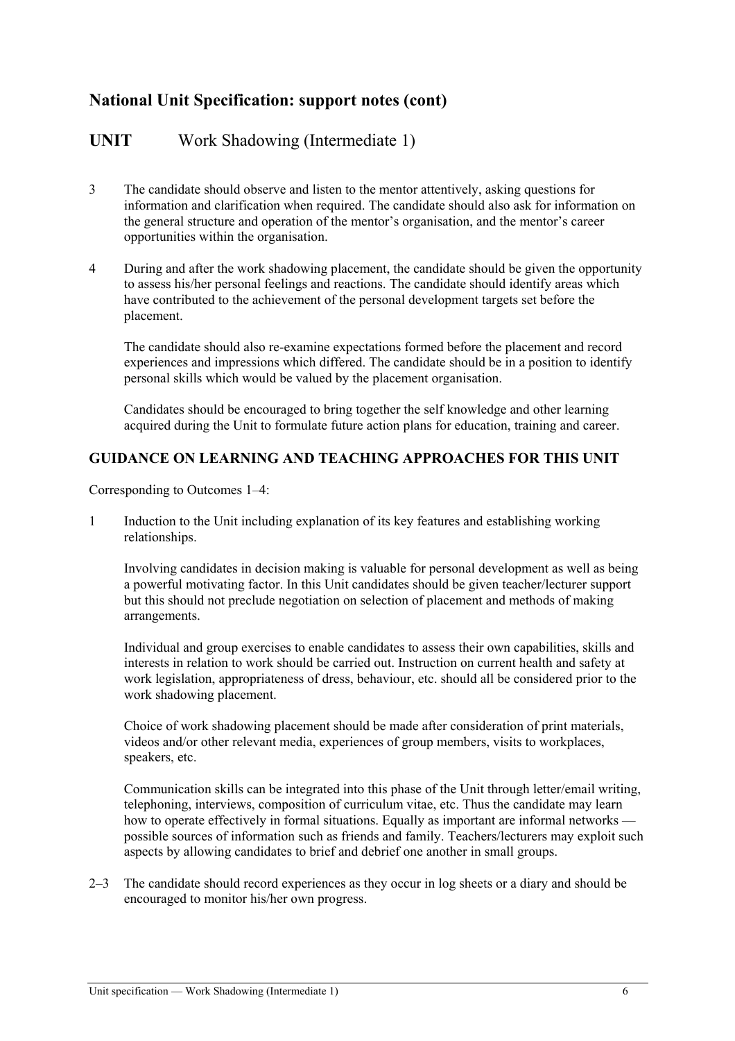## **National Unit Specification: support notes (cont)**

### **UNIT** Work Shadowing (Intermediate 1)

- 3 The candidate should observe and listen to the mentor attentively, asking questions for information and clarification when required. The candidate should also ask for information on the general structure and operation of the mentor's organisation, and the mentor's career opportunities within the organisation.
- 4 During and after the work shadowing placement, the candidate should be given the opportunity to assess his/her personal feelings and reactions. The candidate should identify areas which have contributed to the achievement of the personal development targets set before the placement.

The candidate should also re-examine expectations formed before the placement and record experiences and impressions which differed. The candidate should be in a position to identify personal skills which would be valued by the placement organisation.

Candidates should be encouraged to bring together the self knowledge and other learning acquired during the Unit to formulate future action plans for education, training and career.

#### **GUIDANCE ON LEARNING AND TEACHING APPROACHES FOR THIS UNIT**

Corresponding to Outcomes 1–4:

1 Induction to the Unit including explanation of its key features and establishing working relationships.

Involving candidates in decision making is valuable for personal development as well as being a powerful motivating factor. In this Unit candidates should be given teacher/lecturer support but this should not preclude negotiation on selection of placement and methods of making arrangements.

Individual and group exercises to enable candidates to assess their own capabilities, skills and interests in relation to work should be carried out. Instruction on current health and safety at work legislation, appropriateness of dress, behaviour, etc. should all be considered prior to the work shadowing placement.

Choice of work shadowing placement should be made after consideration of print materials, videos and/or other relevant media, experiences of group members, visits to workplaces, speakers, etc.

Communication skills can be integrated into this phase of the Unit through letter/email writing, telephoning, interviews, composition of curriculum vitae, etc. Thus the candidate may learn how to operate effectively in formal situations. Equally as important are informal networks possible sources of information such as friends and family. Teachers/lecturers may exploit such aspects by allowing candidates to brief and debrief one another in small groups.

2–3 The candidate should record experiences as they occur in log sheets or a diary and should be encouraged to monitor his/her own progress.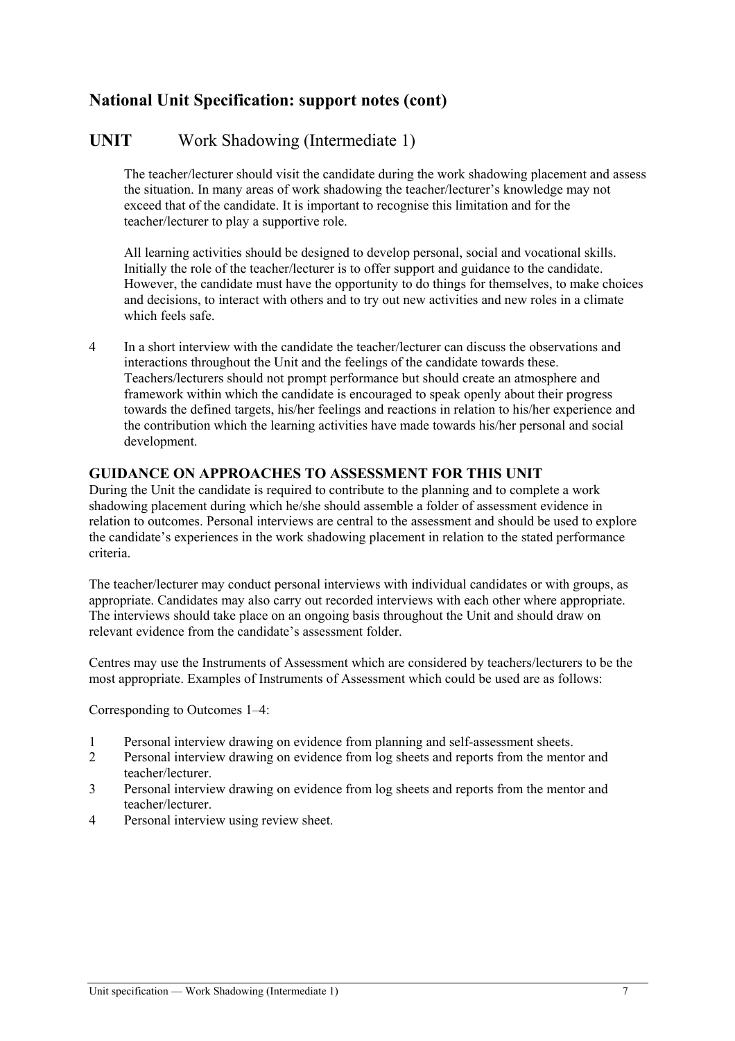## **National Unit Specification: support notes (cont)**

## **UNIT** Work Shadowing (Intermediate 1)

The teacher/lecturer should visit the candidate during the work shadowing placement and assess the situation. In many areas of work shadowing the teacher/lecturer's knowledge may not exceed that of the candidate. It is important to recognise this limitation and for the teacher/lecturer to play a supportive role.

All learning activities should be designed to develop personal, social and vocational skills. Initially the role of the teacher/lecturer is to offer support and guidance to the candidate. However, the candidate must have the opportunity to do things for themselves, to make choices and decisions, to interact with others and to try out new activities and new roles in a climate which feels safe.

4 In a short interview with the candidate the teacher/lecturer can discuss the observations and interactions throughout the Unit and the feelings of the candidate towards these. Teachers/lecturers should not prompt performance but should create an atmosphere and framework within which the candidate is encouraged to speak openly about their progress towards the defined targets, his/her feelings and reactions in relation to his/her experience and the contribution which the learning activities have made towards his/her personal and social development.

### **GUIDANCE ON APPROACHES TO ASSESSMENT FOR THIS UNIT**

During the Unit the candidate is required to contribute to the planning and to complete a work shadowing placement during which he/she should assemble a folder of assessment evidence in relation to outcomes. Personal interviews are central to the assessment and should be used to explore the candidate's experiences in the work shadowing placement in relation to the stated performance criteria.

The teacher/lecturer may conduct personal interviews with individual candidates or with groups, as appropriate. Candidates may also carry out recorded interviews with each other where appropriate. The interviews should take place on an ongoing basis throughout the Unit and should draw on relevant evidence from the candidate's assessment folder.

Centres may use the Instruments of Assessment which are considered by teachers/lecturers to be the most appropriate. Examples of Instruments of Assessment which could be used are as follows:

Corresponding to Outcomes 1–4:

- 1 Personal interview drawing on evidence from planning and self-assessment sheets.
- 2 Personal interview drawing on evidence from log sheets and reports from the mentor and teacher/lecturer.
- 3 Personal interview drawing on evidence from log sheets and reports from the mentor and teacher/lecturer.
- 4 Personal interview using review sheet.